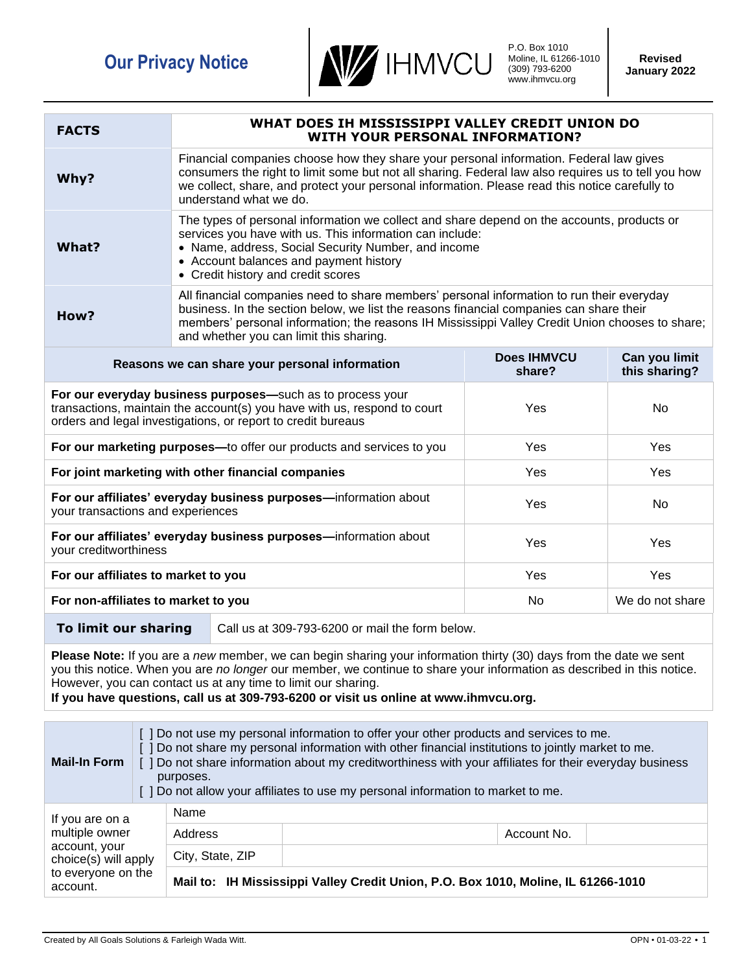

P.O. Box 1010 Moline, IL 61266-1010 (309) 793-6200 www.ihmvcu.org

| <b>FACTS</b>                                                                                                                                                                                                                                                                                                                                                                                          | WHAT DOES IH MISSISSIPPI VALLEY CREDIT UNION DO<br><b>WITH YOUR PERSONAL INFORMATION?</b>                                                                                                                                                                                                                                          |                                                 |                              |                                |  |
|-------------------------------------------------------------------------------------------------------------------------------------------------------------------------------------------------------------------------------------------------------------------------------------------------------------------------------------------------------------------------------------------------------|------------------------------------------------------------------------------------------------------------------------------------------------------------------------------------------------------------------------------------------------------------------------------------------------------------------------------------|-------------------------------------------------|------------------------------|--------------------------------|--|
| Why?                                                                                                                                                                                                                                                                                                                                                                                                  | Financial companies choose how they share your personal information. Federal law gives<br>consumers the right to limit some but not all sharing. Federal law also requires us to tell you how<br>we collect, share, and protect your personal information. Please read this notice carefully to<br>understand what we do.          |                                                 |                              |                                |  |
| What?                                                                                                                                                                                                                                                                                                                                                                                                 | The types of personal information we collect and share depend on the accounts, products or<br>services you have with us. This information can include:<br>• Name, address, Social Security Number, and income<br>• Account balances and payment history<br>• Credit history and credit scores                                      |                                                 |                              |                                |  |
| How?                                                                                                                                                                                                                                                                                                                                                                                                  | All financial companies need to share members' personal information to run their everyday<br>business. In the section below, we list the reasons financial companies can share their<br>members' personal information; the reasons IH Mississippi Valley Credit Union chooses to share;<br>and whether you can limit this sharing. |                                                 |                              |                                |  |
| Reasons we can share your personal information                                                                                                                                                                                                                                                                                                                                                        |                                                                                                                                                                                                                                                                                                                                    |                                                 | <b>Does IHMVCU</b><br>share? | Can you limit<br>this sharing? |  |
| For our everyday business purposes-such as to process your<br>transactions, maintain the account(s) you have with us, respond to court<br>orders and legal investigations, or report to credit bureaus                                                                                                                                                                                                |                                                                                                                                                                                                                                                                                                                                    |                                                 | Yes                          | No                             |  |
| For our marketing purposes-to offer our products and services to you                                                                                                                                                                                                                                                                                                                                  |                                                                                                                                                                                                                                                                                                                                    |                                                 | Yes                          | Yes                            |  |
| For joint marketing with other financial companies                                                                                                                                                                                                                                                                                                                                                    |                                                                                                                                                                                                                                                                                                                                    |                                                 | Yes                          | Yes                            |  |
| For our affiliates' everyday business purposes-information about<br>your transactions and experiences                                                                                                                                                                                                                                                                                                 |                                                                                                                                                                                                                                                                                                                                    |                                                 | Yes                          | No                             |  |
| For our affiliates' everyday business purposes-information about<br>your creditworthiness                                                                                                                                                                                                                                                                                                             |                                                                                                                                                                                                                                                                                                                                    |                                                 | Yes                          | Yes                            |  |
| For our affiliates to market to you                                                                                                                                                                                                                                                                                                                                                                   |                                                                                                                                                                                                                                                                                                                                    |                                                 | Yes                          | Yes                            |  |
| For non-affiliates to market to you                                                                                                                                                                                                                                                                                                                                                                   |                                                                                                                                                                                                                                                                                                                                    |                                                 | No                           | We do not share                |  |
| To limit our sharing                                                                                                                                                                                                                                                                                                                                                                                  |                                                                                                                                                                                                                                                                                                                                    | Call us at 309-793-6200 or mail the form below. |                              |                                |  |
| Please Note: If you are a new member, we can begin sharing your information thirty (30) days from the date we sent<br>you this notice. When you are no longer our member, we continue to share your information as described in this notice.<br>However, you can contact us at any time to limit our sharing.<br>If you have questions, call us at 309-793-6200 or visit us online at www.ihmvcu.org. |                                                                                                                                                                                                                                                                                                                                    |                                                 |                              |                                |  |
| [ ] Do not use my personal information to offer your other products and services to me.<br>[ ] Do not share my personal information with other financial institutions to jointly market to me.<br><b>Mail-In Form</b><br>[ ] Do not share information about my creditworthiness with your affiliates for their everyday business<br>purposes.                                                         |                                                                                                                                                                                                                                                                                                                                    |                                                 |                              |                                |  |

[ ] Do not allow your affiliates to use my personal information to market to me.

Address and the count No.

**Mail to: IH Mississippi Valley Credit Union, P.O. Box 1010, Moline, IL 61266-1010**

Name

City, State, ZIP

If you are on a multiple owner account, your choice(s) will apply to everyone on the

account.